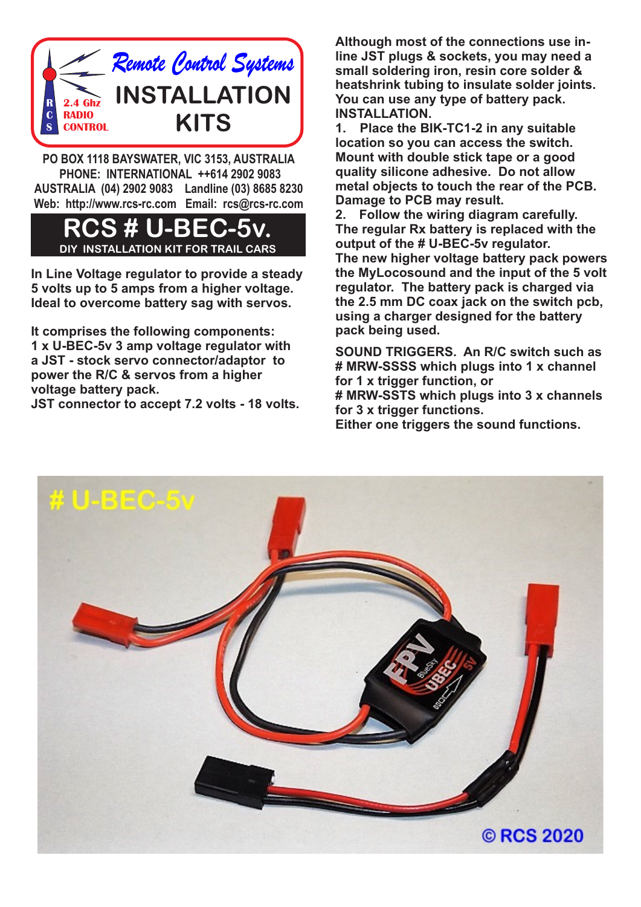

**PO BOX 1118 BAYSWATER, VIC 3153, AUSTRALIA PHONE: INTERNATIONAL ++614 2902 9083 AUSTRALIA (04) 2902 9083 Landline (03) 8685 8230 Web: http://www.rcs-rc.com Email: rcs@rcs-rc.com**

## **RCS # U-BEC-5v. DIY INSTALLATION KIT FOR TRAIL CARS**

**In Line Voltage regulator to provide a steady 5 volts up to 5 amps from a higher voltage. Ideal to overcome battery sag with servos.** 

**It comprises the following components: 1 x U-BEC-5v 3 amp voltage regulator with a JST - stock servo connector/adaptor to power the R/C & servos from a higher voltage battery pack.** 

**JST connector to accept 7.2 volts - 18 volts.**

**Although most of the connections use inline JST plugs & sockets, you may need a small soldering iron, resin core solder & heatshrink tubing to insulate solder joints. You can use any type of battery pack. INSTALLATION.**

**1. Place the BIK-TC1-2 in any suitable location so you can access the switch. Mount with double stick tape or a good quality silicone adhesive. Do not allow metal objects to touch the rear of the PCB. Damage to PCB may result.**

**2. Follow the wiring diagram carefully. The regular Rx battery is replaced with the output of the # U-BEC-5v regulator. The new higher voltage battery pack powers the MyLocosound and the input of the 5 volt regulator. The battery pack is charged via the 2.5 mm DC coax jack on the switch pcb, using a charger designed for the battery pack being used.** 

**SOUND TRIGGERS. An R/C switch such as # MRW-SSSS which plugs into 1 x channel for 1 x trigger function, or** 

**# MRW-SSTS which plugs into 3 x channels for 3 x trigger functions.**

**Either one triggers the sound functions.**